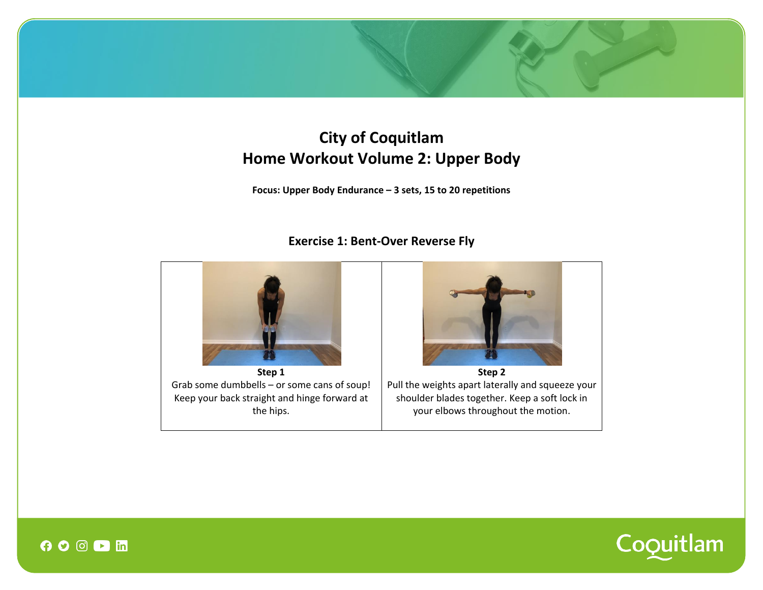# **City of Coquitlam Home Workout Volume 2: Upper Body**

**Focus: Upper Body Endurance – 3 sets, 15 to 20 repetitions**

# **Exercise 1: Bent-Over Reverse Fly**



**Step 1** Grab some dumbbells – or some cans of soup! Keep your back straight and hinge forward at the hips.



**Step 2** Pull the weights apart laterally and squeeze your shoulder blades together. Keep a soft lock in your elbows throughout the motion.



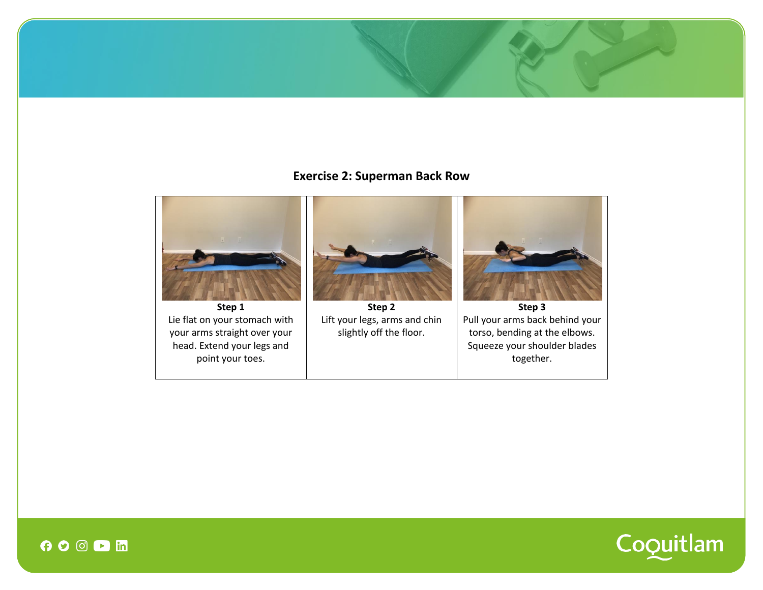## **Exercise 2: Superman Back Row**





 $\bullet$   $\circ$   $\circ$   $\bullet$  in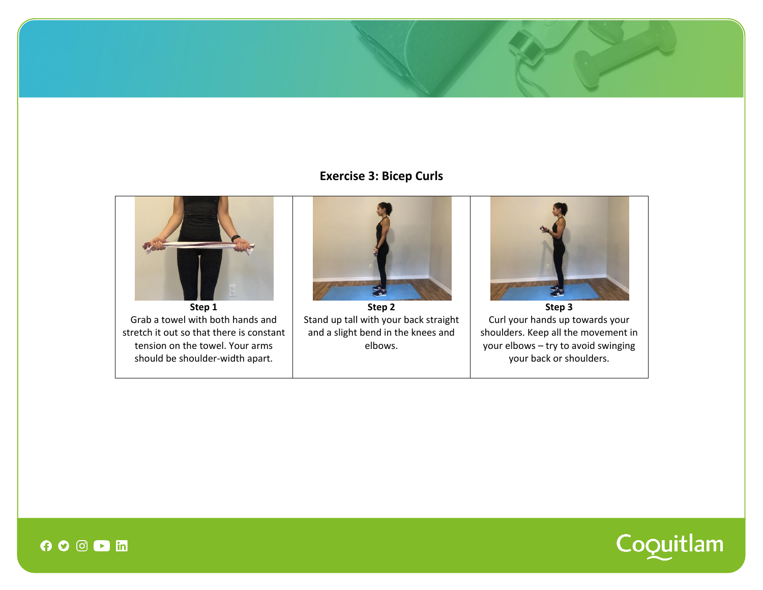# **Exercise 3: Bicep Curls**





 $O$   $O$   $O$   $D$   $n$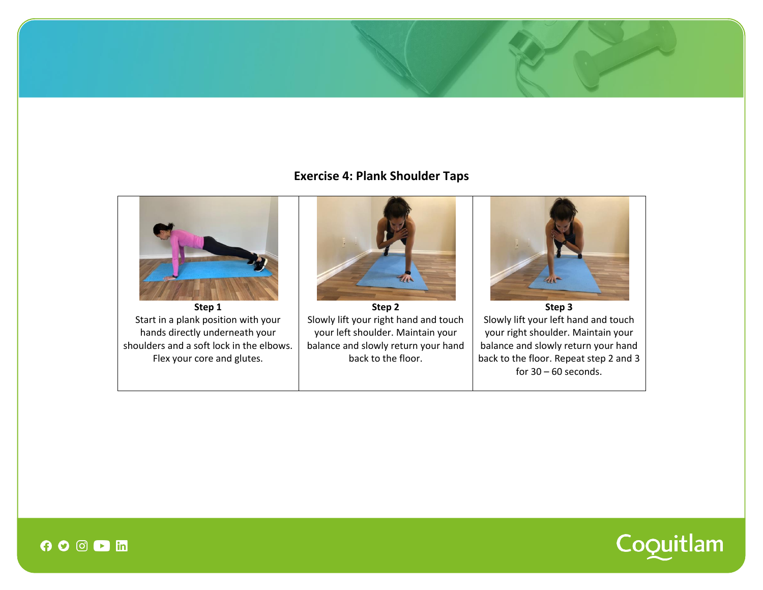# **Exercise 4: Plank Shoulder Taps**





 $\boldsymbol{\Theta} \boldsymbol{\circ} \boldsymbol{\odot} \boldsymbol{\Theta}$  in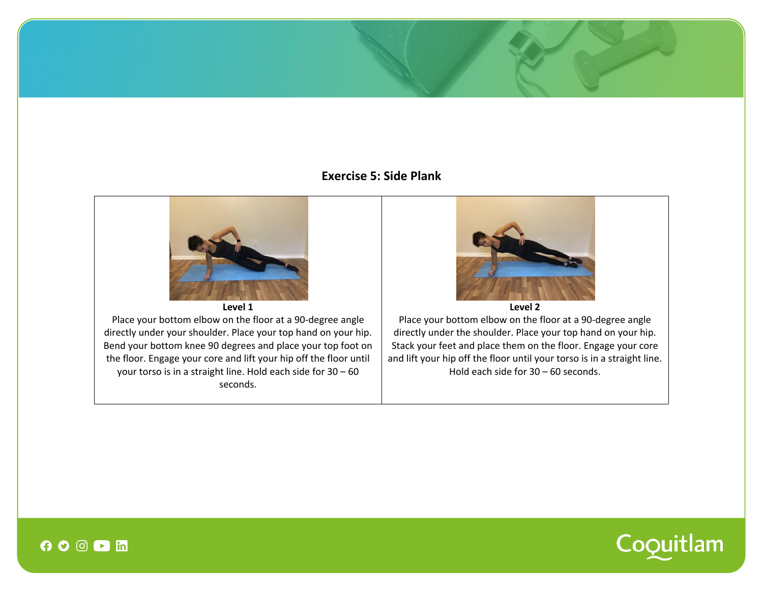## **Exercise 5: Side Plank**





 $\overline{\phantom{0}}$   $\overline{\phantom{0}}$   $\overline{\phantom{0}}$   $\overline{\phantom{0}}$   $\overline{\phantom{0}}$   $\overline{\phantom{0}}$   $\overline{\phantom{0}}$   $\overline{\phantom{0}}$   $\overline{\phantom{0}}$   $\overline{\phantom{0}}$   $\overline{\phantom{0}}$   $\overline{\phantom{0}}$   $\overline{\phantom{0}}$   $\overline{\phantom{0}}$   $\overline{\phantom{0}}$   $\overline{\phantom{0}}$   $\overline{\phantom{0}}$   $\overline{\phantom{0}}$   $\overline{\$